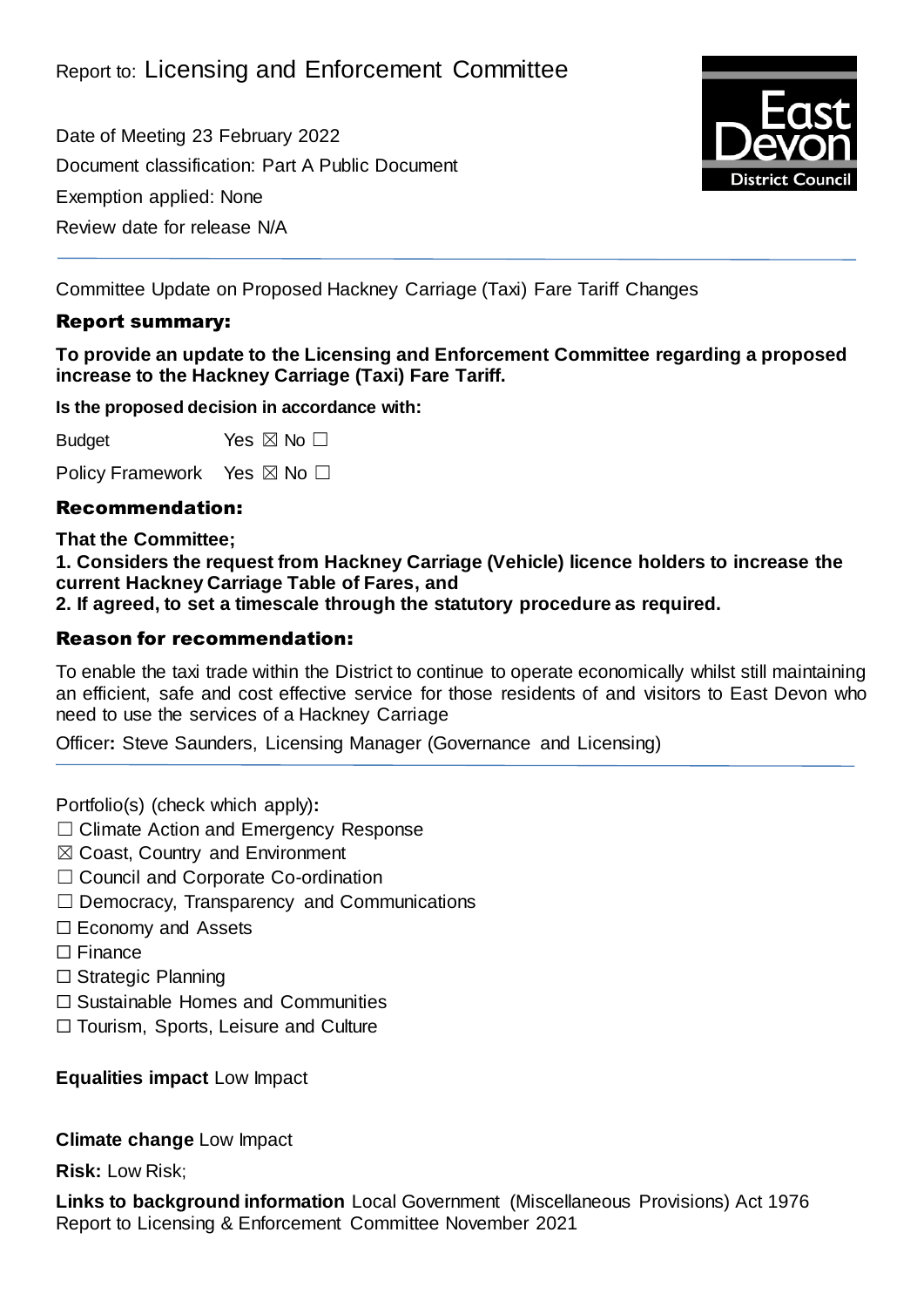Date of Meeting 23 February 2022 Document classification: Part A Public Document Exemption applied: None Review date for release N/A



Committee Update on Proposed Hackney Carriage (Taxi) Fare Tariff Changes

### Report summary:

**To provide an update to the Licensing and Enforcement Committee regarding a proposed increase to the Hackney Carriage (Taxi) Fare Tariff.**

**Is the proposed decision in accordance with:**

Budget Yes  $\boxtimes$  No  $\square$ 

Policy Framework Yes ⊠ No □

#### Recommendation:

**That the Committee;**

**1. Considers the request from Hackney Carriage (Vehicle) licence holders to increase the current Hackney Carriage Table of Fares, and**

**2. If agreed, to set a timescale through the statutory procedure as required.**

#### Reason for recommendation:

To enable the taxi trade within the District to continue to operate economically whilst still maintaining an efficient, safe and cost effective service for those residents of and visitors to East Devon who need to use the services of a Hackney Carriage

Officer**:** Steve Saunders, Licensing Manager (Governance and Licensing)

Portfolio(s) (check which apply)**:**

- ☐ Climate Action and Emergency Response
- ☒ Coast, Country and Environment
- □ Council and Corporate Co-ordination
- $\Box$  Democracy, Transparency and Communications
- ☐ Economy and Assets
- □ Finance
- ☐ Strategic Planning
- ☐ Sustainable Homes and Communities
- ☐ Tourism, Sports, Leisure and Culture

**Equalities impact** Low Impact

**Climate change** Low Impact

**Risk:** Low Risk;

**Links to background information** Local Government (Miscellaneous Provisions) Act 1976 Report to Licensing & Enforcement Committee November 2021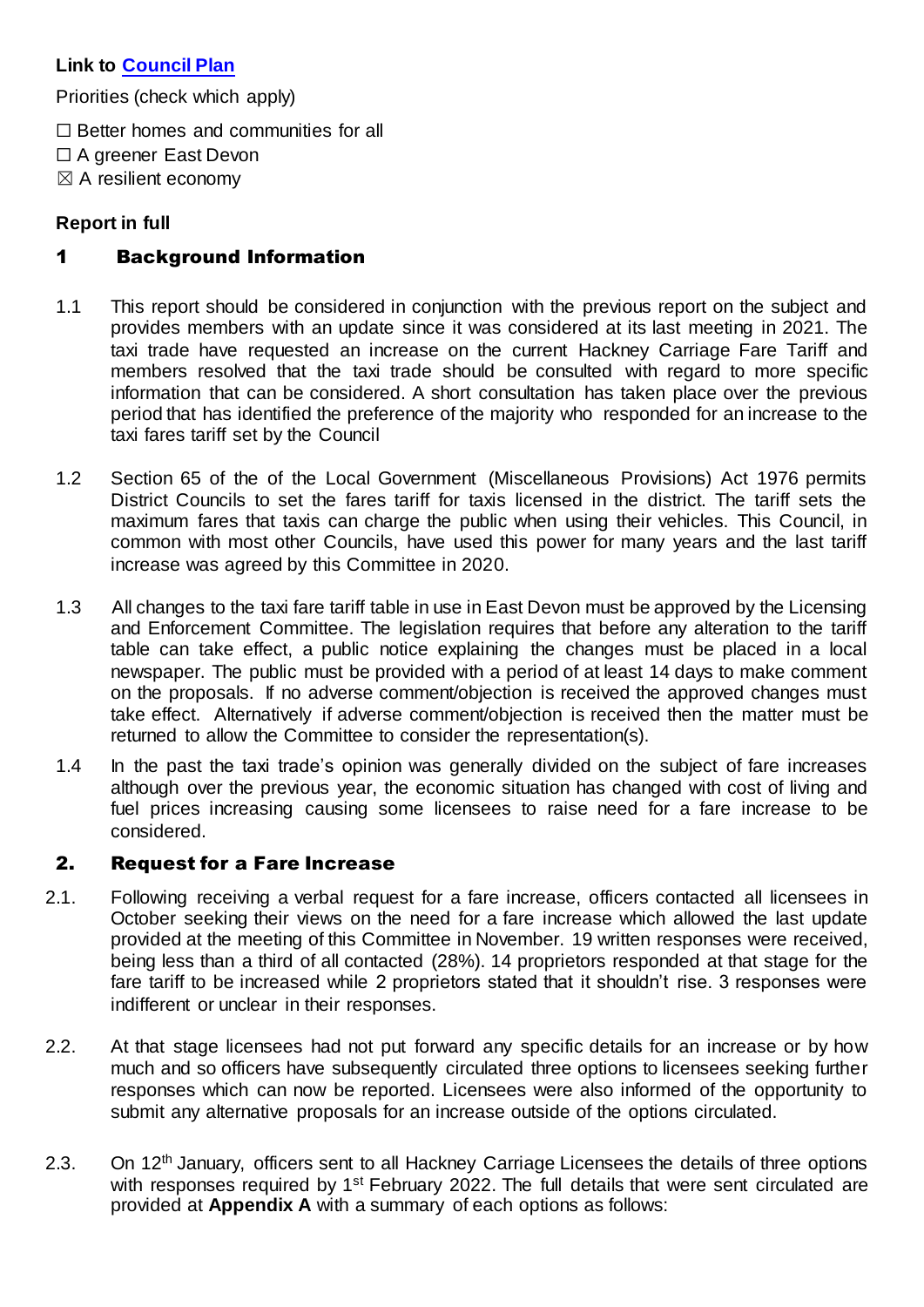# **Link to [Council Plan](https://eastdevon.gov.uk/councilplan/)**

Priorities (check which apply)

- $\Box$  Better homes and communities for all
- ☐ A greener East Devon
- $\boxtimes$  A resilient economy

### **Report in full**

# 1 Background Information

- 1.1 This report should be considered in conjunction with the previous report on the subject and provides members with an update since it was considered at its last meeting in 2021. The taxi trade have requested an increase on the current Hackney Carriage Fare Tariff and members resolved that the taxi trade should be consulted with regard to more specific information that can be considered. A short consultation has taken place over the previous period that has identified the preference of the majority who responded for an increase to the taxi fares tariff set by the Council
- 1.2 Section 65 of the of the Local Government (Miscellaneous Provisions) Act 1976 permits District Councils to set the fares tariff for taxis licensed in the district. The tariff sets the maximum fares that taxis can charge the public when using their vehicles. This Council, in common with most other Councils, have used this power for many years and the last tariff increase was agreed by this Committee in 2020.
- 1.3 All changes to the taxi fare tariff table in use in East Devon must be approved by the Licensing and Enforcement Committee. The legislation requires that before any alteration to the tariff table can take effect, a public notice explaining the changes must be placed in a local newspaper. The public must be provided with a period of at least 14 days to make comment on the proposals. If no adverse comment/objection is received the approved changes must take effect. Alternatively if adverse comment/objection is received then the matter must be returned to allow the Committee to consider the representation(s).
- 1.4 In the past the taxi trade's opinion was generally divided on the subject of fare increases although over the previous year, the economic situation has changed with cost of living and fuel prices increasing causing some licensees to raise need for a fare increase to be considered.

# 2. Request for a Fare Increase

- 2.1. Following receiving a verbal request for a fare increase, officers contacted all licensees in October seeking their views on the need for a fare increase which allowed the last update provided at the meeting of this Committee in November. 19 written responses were received, being less than a third of all contacted (28%). 14 proprietors responded at that stage for the fare tariff to be increased while 2 proprietors stated that it shouldn't rise. 3 responses were indifferent or unclear in their responses.
- 2.2. At that stage licensees had not put forward any specific details for an increase or by how much and so officers have subsequently circulated three options to licensees seeking further responses which can now be reported. Licensees were also informed of the opportunity to submit any alternative proposals for an increase outside of the options circulated.
- 2.3. On 12<sup>th</sup> January, officers sent to all Hackney Carriage Licensees the details of three options with responses required by 1<sup>st</sup> February 2022. The full details that were sent circulated are provided at **Appendix A** with a summary of each options as follows: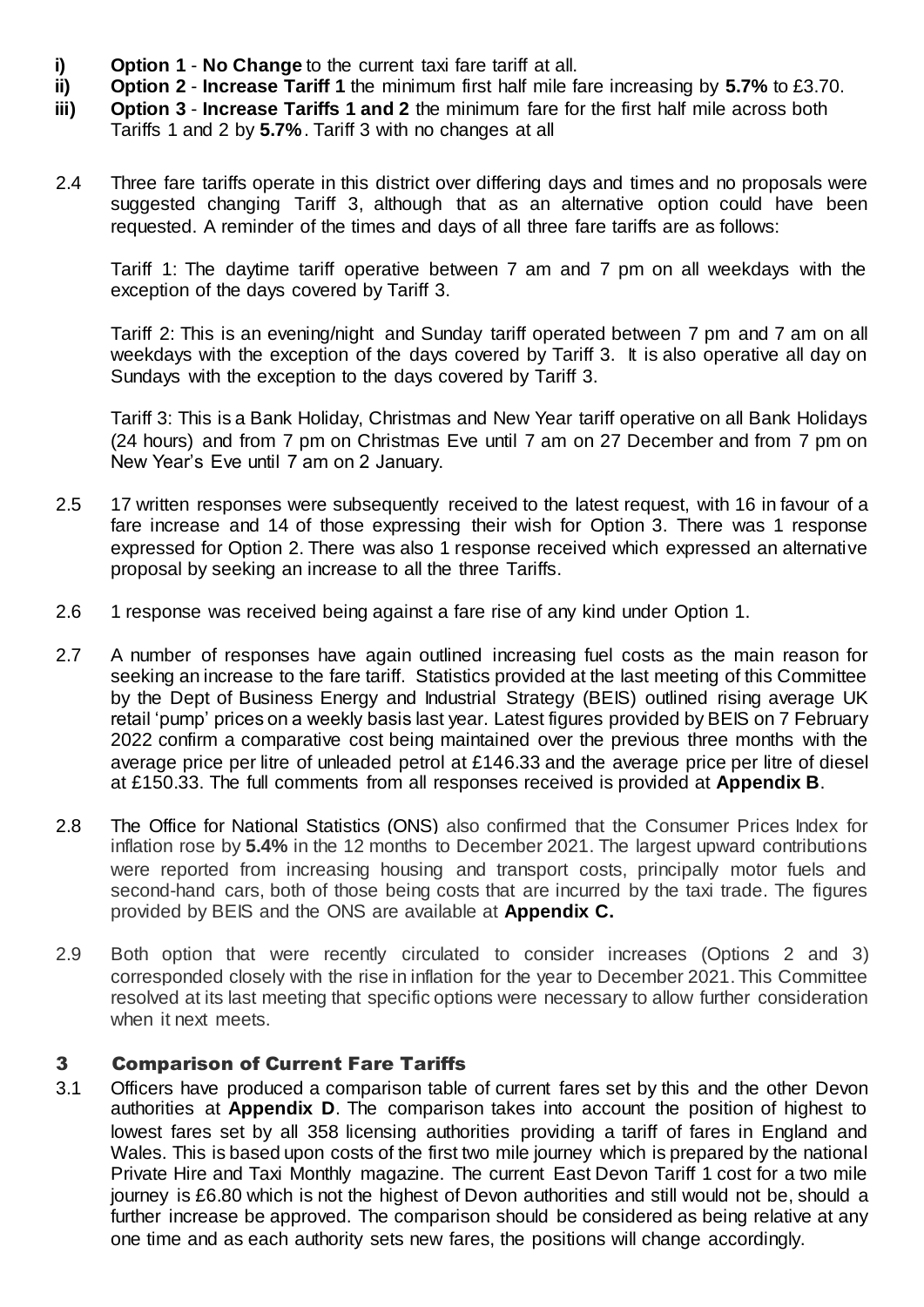- **i) Option 1 No Change** to the current taxi fare tariff at all.<br>**ii) Option 2 Increase Tariff 1** the minimum first half mile fa
- **ii) Option 2 Increase Tariff 1** the minimum first half mile fare increasing by **5.7%** to £3.70.
- **iii) Option 3 Increase Tariffs 1 and 2** the minimum fare for the first half mile across both Tariffs 1 and 2 by **5.7%**. Tariff 3 with no changes at all
- 2.4 Three fare tariffs operate in this district over differing days and times and no proposals were suggested changing Tariff 3, although that as an alternative option could have been requested. A reminder of the times and days of all three fare tariffs are as follows:

Tariff 1: The daytime tariff operative between 7 am and 7 pm on all weekdays with the exception of the days covered by Tariff 3.

Tariff 2: This is an evening/night and Sunday tariff operated between 7 pm and 7 am on all weekdays with the exception of the days covered by Tariff 3. It is also operative all day on Sundays with the exception to the days covered by Tariff 3.

Tariff 3: This is a Bank Holiday, Christmas and New Year tariff operative on all Bank Holidays (24 hours) and from 7 pm on Christmas Eve until 7 am on 27 December and from 7 pm on New Year's Eve until 7 am on 2 January.

- 2.5 17 written responses were subsequently received to the latest request, with 16 in favour of a fare increase and 14 of those expressing their wish for Option 3. There was 1 response expressed for Option 2. There was also 1 response received which expressed an alternative proposal by seeking an increase to all the three Tariffs.
- 2.6 1 response was received being against a fare rise of any kind under Option 1.
- 2.7 A number of responses have again outlined increasing fuel costs as the main reason for seeking an increase to the fare tariff. Statistics provided at the last meeting of this Committee by the Dept of Business Energy and Industrial Strategy (BEIS) outlined rising average UK retail 'pump' prices on a weekly basis last year. Latest figures provided by BEIS on 7 February 2022 confirm a comparative cost being maintained over the previous three months with the average price per litre of unleaded petrol at £146.33 and the average price per litre of diesel at £150.33. The full comments from all responses received is provided at **Appendix B**.
- 2.8 The Office for National Statistics (ONS) also confirmed that the Consumer Prices Index for inflation rose by **5.4%** in the 12 months to December 2021. The largest upward contributions were reported from increasing housing and transport costs, principally motor fuels and second-hand cars, both of those being costs that are incurred by the taxi trade. The figures provided by BEIS and the ONS are available at **Appendix C.**
- 2.9 Both option that were recently circulated to consider increases (Options 2 and 3) corresponded closely with the rise in inflation for the year to December 2021. This Committee resolved at its last meeting that specific options were necessary to allow further consideration when it next meets.

#### 3 Comparison of Current Fare Tariffs

3.1 Officers have produced a comparison table of current fares set by this and the other Devon authorities at **Appendix D**. The comparison takes into account the position of highest to lowest fares set by all 358 licensing authorities providing a tariff of fares in England and Wales. This is based upon costs of the first two mile journey which is prepared by the national Private Hire and Taxi Monthly magazine. The current East Devon Tariff 1 cost for a two mile journey is £6.80 which is not the highest of Devon authorities and still would not be, should a further increase be approved. The comparison should be considered as being relative at any one time and as each authority sets new fares, the positions will change accordingly.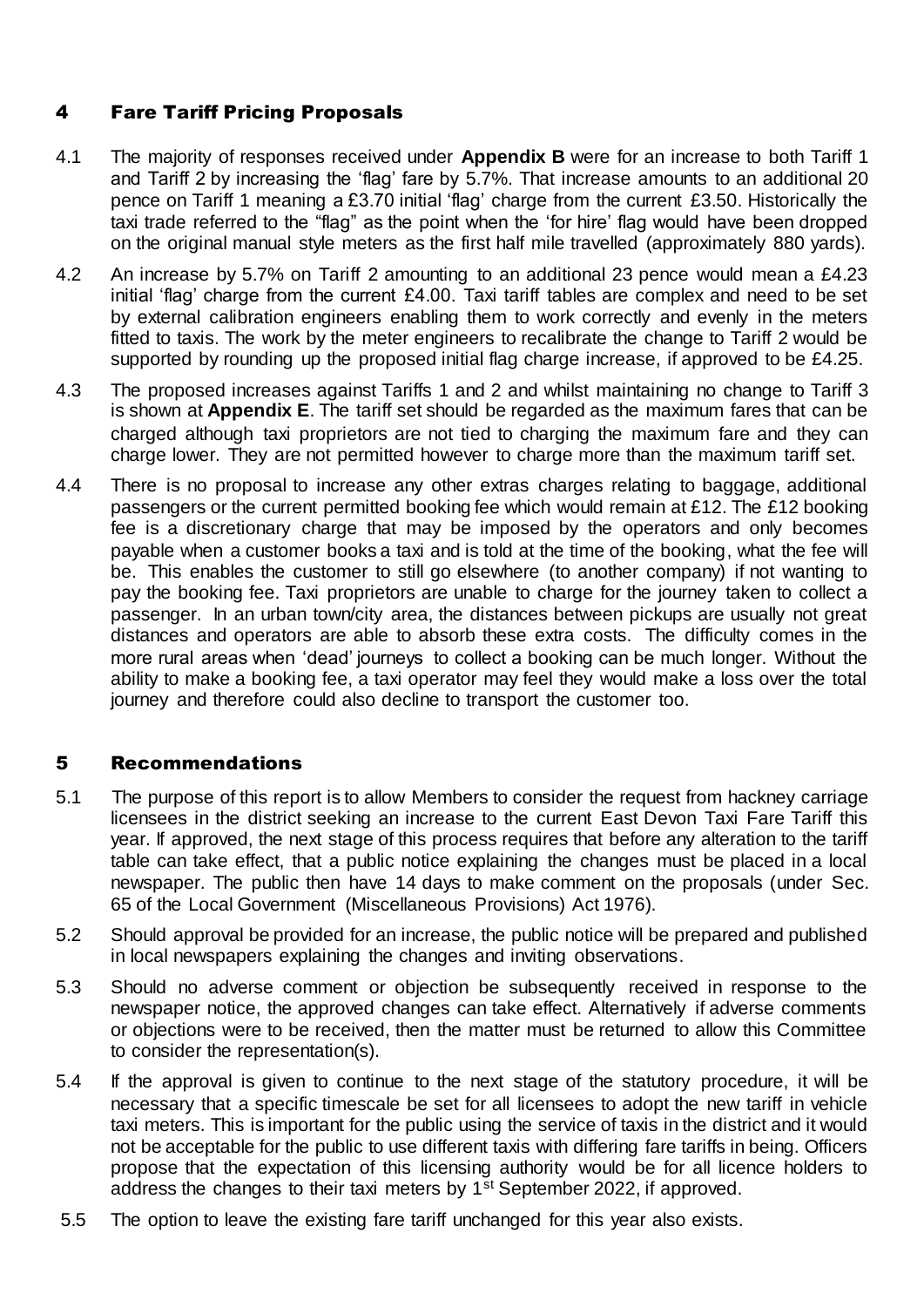# 4 Fare Tariff Pricing Proposals

- 4.1 The majority of responses received under **Appendix B** were for an increase to both Tariff 1 and Tariff 2 by increasing the 'flag' fare by 5.7%. That increase amounts to an additional 20 pence on Tariff 1 meaning a £3.70 initial 'flag' charge from the current £3.50. Historically the taxi trade referred to the "flag" as the point when the 'for hire' flag would have been dropped on the original manual style meters as the first half mile travelled (approximately 880 yards).
- 4.2 An increase by 5.7% on Tariff 2 amounting to an additional 23 pence would mean a £4.23 initial 'flag' charge from the current £4.00. Taxi tariff tables are complex and need to be set by external calibration engineers enabling them to work correctly and evenly in the meters fitted to taxis. The work by the meter engineers to recalibrate the change to Tariff 2 would be supported by rounding up the proposed initial flag charge increase, if approved to be £4.25.
- 4.3 The proposed increases against Tariffs 1 and 2 and whilst maintaining no change to Tariff 3 is shown at **Appendix E**. The tariff set should be regarded as the maximum fares that can be charged although taxi proprietors are not tied to charging the maximum fare and they can charge lower. They are not permitted however to charge more than the maximum tariff set.
- 4.4 There is no proposal to increase any other extras charges relating to baggage, additional passengers or the current permitted booking fee which would remain at £12. The £12 booking fee is a discretionary charge that may be imposed by the operators and only becomes payable when a customer books a taxi and is told at the time of the booking, what the fee will be. This enables the customer to still go elsewhere (to another company) if not wanting to pay the booking fee. Taxi proprietors are unable to charge for the journey taken to collect a passenger. In an urban town/city area, the distances between pickups are usually not great distances and operators are able to absorb these extra costs. The difficulty comes in the more rural areas when 'dead' journeys to collect a booking can be much longer. Without the ability to make a booking fee, a taxi operator may feel they would make a loss over the total journey and therefore could also decline to transport the customer too.

# 5 Recommendations

- 5.1 The purpose of this report is to allow Members to consider the request from hackney carriage licensees in the district seeking an increase to the current East Devon Taxi Fare Tariff this year. If approved, the next stage of this process requires that before any alteration to the tariff table can take effect, that a public notice explaining the changes must be placed in a local newspaper. The public then have 14 days to make comment on the proposals (under Sec. 65 of the Local Government (Miscellaneous Provisions) Act 1976).
- 5.2 Should approval be provided for an increase, the public notice will be prepared and published in local newspapers explaining the changes and inviting observations.
- 5.3 Should no adverse comment or objection be subsequently received in response to the newspaper notice, the approved changes can take effect. Alternatively if adverse comments or objections were to be received, then the matter must be returned to allow this Committee to consider the representation(s).
- 5.4 If the approval is given to continue to the next stage of the statutory procedure, it will be necessary that a specific timescale be set for all licensees to adopt the new tariff in vehicle taxi meters. This is important for the public using the service of taxis in the district and it would not be acceptable for the public to use different taxis with differing fare tariffs in being. Officers propose that the expectation of this licensing authority would be for all licence holders to address the changes to their taxi meters by 1<sup>st</sup> September 2022, if approved.
- 5.5 The option to leave the existing fare tariff unchanged for this year also exists.